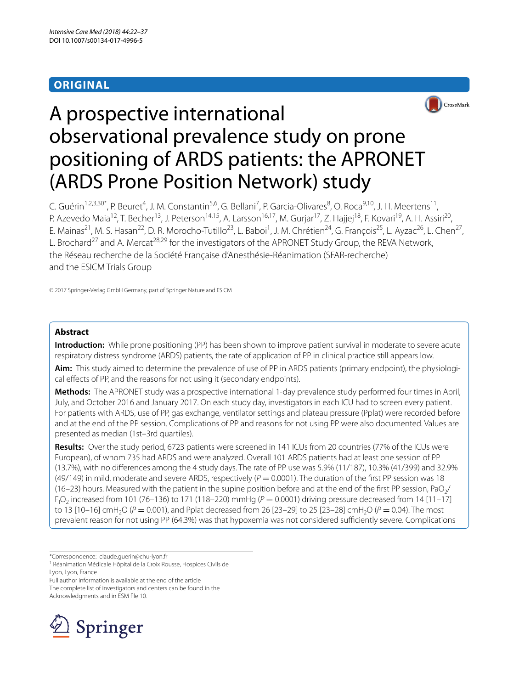# **ORIGINAL**



# A prospective international observational prevalence study on prone positioning of ARDS patients: the APRONET (ARDS Prone Position Network) study

C. Guérin<sup>1,2,3,30\*</sup>, P. Beuret<sup>4</sup>, J. M. Constantin<sup>5,6</sup>, G. Bellani<sup>7</sup>, P. Garcia-Olivares<sup>8</sup>, O. Roca<sup>9,10</sup>, J. H. Meertens<sup>11</sup>, P. Azevedo Maia<sup>12</sup>, T. Becher<sup>13</sup>, J. Peterson<sup>14,15</sup>, A. Larsson<sup>16,17</sup>, M. Gurjar<sup>17</sup>, Z. Hajjej<sup>18</sup>, F. Kovari<sup>19</sup>, A. H. Assiri<sup>20</sup>, E. Mainas<sup>21</sup>, M. S. Hasan<sup>22</sup>, D. R. Morocho-Tutillo<sup>23</sup>, L. Baboi<sup>1</sup>, J. M. Chrétien<sup>24</sup>, G. François<sup>25</sup>, L. Ayzac<sup>26</sup>, L. Chen<sup>27</sup>, L. Brochard<sup>27</sup> and A. Mercat<sup>28,29</sup> for the investigators of the APRONET Study Group, the REVA Network, the Réseau recherche de la Société Française d'Anesthésie-Réanimation (SFAR-recherche) and the ESICM Trials Group

© 2017 Springer-Verlag GmbH Germany, part of Springer Nature and ESICM

# **Abstract**

**Introduction:** While prone positioning (PP) has been shown to improve patient survival in moderate to severe acute respiratory distress syndrome (ARDS) patients, the rate of application of PP in clinical practice still appears low.

Aim: This study aimed to determine the prevalence of use of PP in ARDS patients (primary endpoint), the physiological efects of PP, and the reasons for not using it (secondary endpoints).

**Methods:** The APRONET study was a prospective international 1-day prevalence study performed four times in April, July, and October 2016 and January 2017. On each study day, investigators in each ICU had to screen every patient. For patients with ARDS, use of PP, gas exchange, ventilator settings and plateau pressure (Pplat) were recorded before and at the end of the PP session. Complications of PP and reasons for not using PP were also documented. Values are presented as median (1st–3rd quartiles).

**Results:** Over the study period, 6723 patients were screened in 141 ICUs from 20 countries (77% of the ICUs were European), of whom 735 had ARDS and were analyzed. Overall 101 ARDS patients had at least one session of PP (13.7%), with no diferences among the 4 study days. The rate of PP use was 5.9% (11/187), 10.3% (41/399) and 32.9% (49/149) in mild, moderate and severe ARDS, respectively  $(P = 0.0001)$ . The duration of the first PP session was 18 (16–23) hours. Measured with the patient in the supine position before and at the end of the first PP session, PaO $\gamma$  $F_1O_2$  increased from 101 (76–136) to 171 (118–220) mmHg ( $P = 0.0001$ ) driving pressure decreased from 14 [11–17] to 13  $[10-16]$  cmH<sub>2</sub>O ( $P = 0.001$ ), and Pplat decreased from 26  $[23-29]$  to 25  $[23-28]$  cmH<sub>2</sub>O ( $P = 0.04$ ). The most prevalent reason for not using PP (64.3%) was that hypoxemia was not considered sufficiently severe. Complications

\*Correspondence: claude.guerin@chu‑lyon.fr

<sup>1</sup> Réanimation Médicale Hôpital de la Croix Rousse, Hospices Civils de Lyon, Lyon, France

Full author information is available at the end of the article

The complete list of investigators and centers can be found in the Acknowledgments and in ESM fle 10.

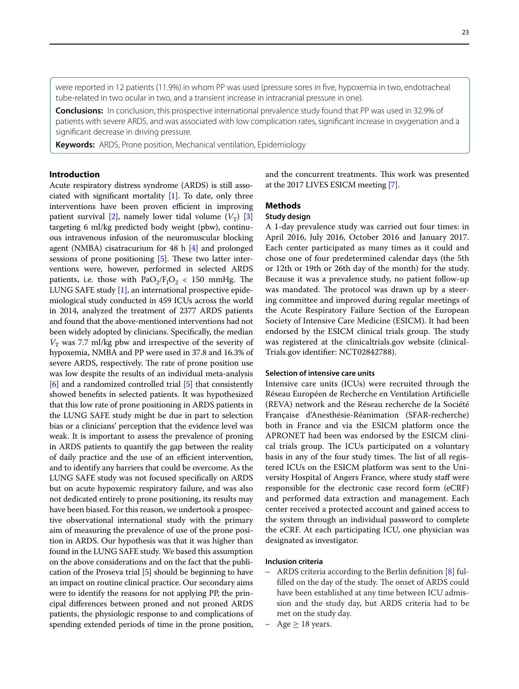were reported in 12 patients (11.9%) in whom PP was used (pressure sores in fve, hypoxemia in two, endotracheal tube-related in two ocular in two, and a transient increase in intracranial pressure in one).

**Conclusions:** In conclusion, this prospective international prevalence study found that PP was used in 32.9% of patients with severe ARDS, and was associated with low complication rates, signifcant increase in oxygenation and a signifcant decrease in driving pressure.

**Keywords:** ARDS, Prone position, Mechanical ventilation, Epidemiology

# **Introduction**

Acute respiratory distress syndrome (ARDS) is still associated with significant mortality  $[1]$  $[1]$ . To date, only three interventions have been proven efficient in improving patient survival [[2\]](#page-15-1), namely lower tidal volume  $(V_T)$  [[3](#page-15-2)] targeting 6 ml/kg predicted body weight (pbw), continuous intravenous infusion of the neuromuscular blocking agent (NMBA) cisatracurium for 48 h [[4\]](#page-15-3) and prolonged sessions of prone positioning  $[5]$  $[5]$ . These two latter interventions were, however, performed in selected ARDS patients, i.e. those with  $PaO<sub>2</sub>/F<sub>1</sub>O<sub>2</sub> < 150$  mmHg. The LUNG SAFE study [\[1\]](#page-15-0), an international prospective epidemiological study conducted in 459 ICUs across the world in 2014, analyzed the treatment of 2377 ARDS patients and found that the above-mentioned interventions had not been widely adopted by clinicians. Specifcally, the median  $V<sub>T</sub>$  was 7.7 ml/kg pbw and irrespective of the severity of hypoxemia, NMBA and PP were used in 37.8 and 16.3% of severe ARDS, respectively. The rate of prone position use was low despite the results of an individual meta-analysis [[6\]](#page-15-5) and a randomized controlled trial [\[5](#page-15-4)] that consistently showed benefts in selected patients. It was hypothesized that this low rate of prone positioning in ARDS patients in the LUNG SAFE study might be due in part to selection bias or a clinicians' perception that the evidence level was weak. It is important to assess the prevalence of proning in ARDS patients to quantify the gap between the reality of daily practice and the use of an efficient intervention, and to identify any barriers that could be overcome. As the LUNG SAFE study was not focused specifcally on ARDS but on acute hypoxemic respiratory failure, and was also not dedicated entirely to prone positioning, its results may have been biased. For this reason, we undertook a prospective observational international study with the primary aim of measuring the prevalence of use of the prone position in ARDS. Our hypothesis was that it was higher than found in the LUNG SAFE study. We based this assumption on the above considerations and on the fact that the publication of the Proseva trial [\[5](#page-15-4)] should be beginning to have an impact on routine clinical practice. Our secondary aims were to identify the reasons for not applying PP, the principal diferences between proned and not proned ARDS patients, the physiologic response to and complications of spending extended periods of time in the prone position,

and the concurrent treatments. This work was presented at the 2017 LIVES ESICM meeting [[7\]](#page-15-6).

# **Methods**

# **Study design**

A 1-day prevalence study was carried out four times: in April 2016, July 2016, October 2016 and January 2017. Each center participated as many times as it could and chose one of four predetermined calendar days (the 5th or 12th or 19th or 26th day of the month) for the study. Because it was a prevalence study, no patient follow-up was mandated. The protocol was drawn up by a steering committee and improved during regular meetings of the Acute Respiratory Failure Section of the European Society of Intensive Care Medicine (ESICM). It had been endorsed by the ESICM clinical trials group. The study was registered at the clinicaltrials.gov website (clinical-Trials.gov identifer: NCT02842788).

### **Selection of intensive care units**

Intensive care units (ICUs) were recruited through the Réseau Européen de Recherche en Ventilation Artifcielle (REVA) network and the Réseau recherche de la Société Française d'Anesthésie-Réanimation (SFAR-recherche) both in France and via the ESICM platform once the APRONET had been was endorsed by the ESICM clinical trials group. The ICUs participated on a voluntary basis in any of the four study times. The list of all registered ICUs on the ESICM platform was sent to the University Hospital of Angers France, where study staff were responsible for the electronic case record form (eCRF) and performed data extraction and management. Each center received a protected account and gained access to the system through an individual password to complete the eCRF. At each participating ICU, one physician was designated as investigator.

#### **Inclusion criteria**

- ARDS criteria according to the Berlin definition [\[8\]](#page-15-7) fulfilled on the day of the study. The onset of ARDS could have been established at any time between ICU admission and the study day, but ARDS criteria had to be met on the study day.
- Age  $\geq$  18 years.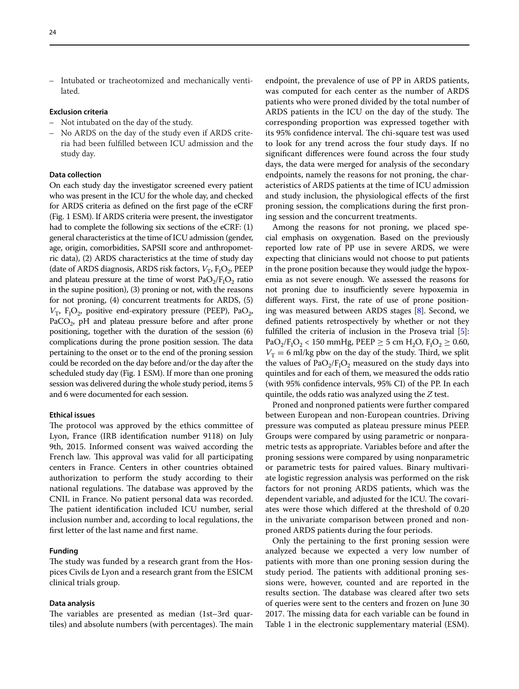Intubated or tracheotomized and mechanically ventilated.

### **Exclusion criteria**

- –– Not intubated on the day of the study.
- –– No ARDS on the day of the study even if ARDS criteria had been fulflled between ICU admission and the study day.

## **Data collection**

On each study day the investigator screened every patient who was present in the ICU for the whole day, and checked for ARDS criteria as defned on the frst page of the eCRF (Fig. 1 ESM). If ARDS criteria were present, the investigator had to complete the following six sections of the eCRF: (1) general characteristics at the time of ICU admission (gender, age, origin, comorbidities, SAPSII score and anthropometric data), (2) ARDS characteristics at the time of study day (date of ARDS diagnosis, ARDS risk factors,  $V_T$ ,  $F_1O_2$ , PEEP and plateau pressure at the time of worst  $PaO<sub>2</sub>/F<sub>I</sub>O<sub>2</sub>$  ratio in the supine position), (3) proning or not, with the reasons for not proning, (4) concurrent treatments for ARDS, (5)  $V_T$ ,  $F_1O_2$ , positive end-expiratory pressure (PEEP), Pa $O_2$ , PaCO<sub>2</sub>, pH and plateau pressure before and after prone positioning, together with the duration of the session (6) complications during the prone position session. The data pertaining to the onset or to the end of the proning session could be recorded on the day before and/or the day after the scheduled study day (Fig. 1 ESM). If more than one proning session was delivered during the whole study period, items 5 and 6 were documented for each session.

#### **Ethical issues**

The protocol was approved by the ethics committee of Lyon, France (IRB identifcation number 9118) on July 9th, 2015. Informed consent was waived according the French law. This approval was valid for all participating centers in France. Centers in other countries obtained authorization to perform the study according to their national regulations. The database was approved by the CNIL in France. No patient personal data was recorded. The patient identification included ICU number, serial inclusion number and, according to local regulations, the frst letter of the last name and frst name.

#### **Funding**

The study was funded by a research grant from the Hospices Civils de Lyon and a research grant from the ESICM clinical trials group.

## **Data analysis**

The variables are presented as median (1st-3rd quartiles) and absolute numbers (with percentages). The main endpoint, the prevalence of use of PP in ARDS patients, was computed for each center as the number of ARDS patients who were proned divided by the total number of ARDS patients in the ICU on the day of the study. The corresponding proportion was expressed together with its 95% confidence interval. The chi-square test was used to look for any trend across the four study days. If no signifcant diferences were found across the four study days, the data were merged for analysis of the secondary endpoints, namely the reasons for not proning, the characteristics of ARDS patients at the time of ICU admission and study inclusion, the physiological efects of the frst proning session, the complications during the frst proning session and the concurrent treatments.

Among the reasons for not proning, we placed special emphasis on oxygenation. Based on the previously reported low rate of PP use in severe ARDS, we were expecting that clinicians would not choose to put patients in the prone position because they would judge the hypoxemia as not severe enough. We assessed the reasons for not proning due to insufficiently severe hypoxemia in diferent ways. First, the rate of use of prone positioning was measured between ARDS stages [[8](#page-15-7)]. Second, we defned patients retrospectively by whether or not they fulflled the criteria of inclusion in the Proseva trial [\[5](#page-15-4)]:  $PaO_2/F_1O_2$  < 150 mmHg, PEEP  $\geq$  5 cm H<sub>2</sub>O, F<sub>1</sub>O<sub>2</sub>  $\geq$  0.60,  $V<sub>T</sub> = 6$  ml/kg pbw on the day of the study. Third, we split the values of  $PaO<sub>2</sub>/F<sub>I</sub>O<sub>2</sub>$  measured on the study days into quintiles and for each of them, we measured the odds ratio (with 95% confdence intervals, 95% CI) of the PP. In each quintile, the odds ratio was analyzed using the *Z* test.

Proned and nonproned patients were further compared between European and non-European countries. Driving pressure was computed as plateau pressure minus PEEP. Groups were compared by using parametric or nonparametric tests as appropriate. Variables before and after the proning sessions were compared by using nonparametric or parametric tests for paired values. Binary multivariate logistic regression analysis was performed on the risk factors for not proning ARDS patients, which was the dependent variable, and adjusted for the ICU. The covariates were those which difered at the threshold of 0.20 in the univariate comparison between proned and nonproned ARDS patients during the four periods.

Only the pertaining to the frst proning session were analyzed because we expected a very low number of patients with more than one proning session during the study period. The patients with additional proning sessions were, however, counted and are reported in the results section. The database was cleared after two sets of queries were sent to the centers and frozen on June 30 2017. The missing data for each variable can be found in Table 1 in the electronic supplementary material (ESM).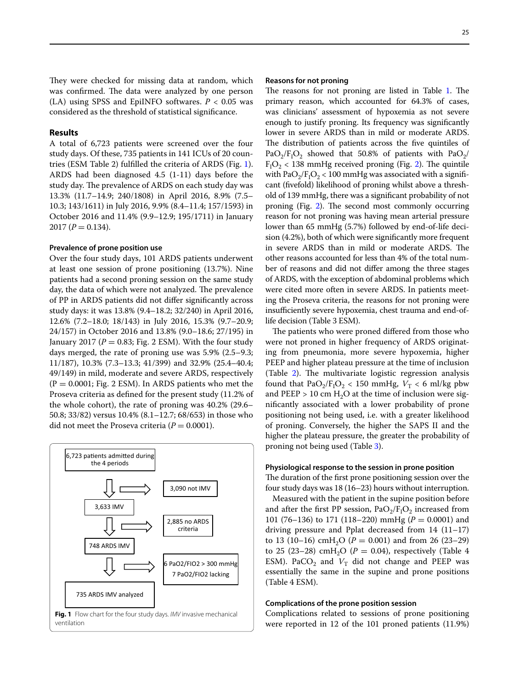They were checked for missing data at random, which was confirmed. The data were analyzed by one person (LA) using SPSS and EpiINFO softwares.  $P < 0.05$  was considered as the threshold of statistical signifcance.

## **Results**

A total of 6,723 patients were screened over the four study days. Of these, 735 patients in 141 ICUs of 20 countries (ESM Table 2) fulflled the criteria of ARDS (Fig. [1](#page-3-0)). ARDS had been diagnosed 4.5 (1-11) days before the study day. The prevalence of ARDS on each study day was 13.3% (11.7–14.9; 240/1808) in April 2016, 8.9% (7.5– 10.3; 143/1611) in July 2016, 9.9% (8.4–11.4; 157/1593) in October 2016 and 11.4% (9.9–12.9; 195/1711) in January  $2017 (P = 0.134).$ 

#### **Prevalence of prone position use**

Over the four study days, 101 ARDS patients underwent at least one session of prone positioning (13.7%). Nine patients had a second proning session on the same study day, the data of which were not analyzed. The prevalence of PP in ARDS patients did not difer signifcantly across study days: it was 13.8% (9.4–18.2; 32/240) in April 2016, 12.6% (7.2–18.0; 18/143) in July 2016, 15.3% (9.7–20.9; 24/157) in October 2016 and 13.8% (9.0–18.6; 27/195) in January 2017 ( $P = 0.83$ ; Fig. 2 ESM). With the four study days merged, the rate of proning use was 5.9% (2.5–9.3; 11/187), 10.3% (7.3–13.3; 41/399) and 32.9% (25.4–40.4; 49/149) in mild, moderate and severe ARDS, respectively  $(P = 0.0001; Fig. 2 ESM)$ . In ARDS patients who met the Proseva criteria as defned for the present study (11.2% of the whole cohort), the rate of proning was 40.2% (29.6– 50.8; 33/82) versus 10.4% (8.1–12.7; 68/653) in those who did not meet the Proseva criteria  $(P = 0.0001)$ .

<span id="page-3-0"></span>

#### **Reasons for not proning**

The reasons for not proning are listed in Table [1.](#page-4-0) The primary reason, which accounted for 64.3% of cases, was clinicians' assessment of hypoxemia as not severe enough to justify proning. Its frequency was signifcantly lower in severe ARDS than in mild or moderate ARDS. The distribution of patients across the five quintiles of  $PaO_2/F_1O_2$  showed that 50.8% of patients with  $PaO_2$ /  $F<sub>I</sub>O<sub>2</sub>$  < 138 mmHg received proning (Fig. [2\)](#page-4-1). The quintile with  $PaO_2/F_1O_2 < 100$  mmHg was associated with a significant (fvefold) likelihood of proning whilst above a threshold of 139 mmHg, there was a signifcant probability of not proning (Fig.  $2$ ). The second most commonly occurring reason for not proning was having mean arterial pressure lower than 65 mmHg (5.7%) followed by end-of-life decision (4.2%), both of which were signifcantly more frequent in severe ARDS than in mild or moderate ARDS. The other reasons accounted for less than 4% of the total number of reasons and did not difer among the three stages of ARDS, with the exception of abdominal problems which were cited more often in severe ARDS. In patients meeting the Proseva criteria, the reasons for not proning were insufficiently severe hypoxemia, chest trauma and end-oflife decision (Table 3 ESM).

The patients who were proned differed from those who were not proned in higher frequency of ARDS originating from pneumonia, more severe hypoxemia, higher PEEP and higher plateau pressure at the time of inclusion (Table  $2$ ). The multivariate logistic regression analysis found that  $PaO_2/F_1O_2 < 150$  mmHg,  $V_T < 6$  ml/kg pbw and PEEP > 10 cm  $H_2O$  at the time of inclusion were signifcantly associated with a lower probability of prone positioning not being used, i.e. with a greater likelihood of proning. Conversely, the higher the SAPS II and the higher the plateau pressure, the greater the probability of proning not being used (Table [3\)](#page-6-0).

#### **Physiological response to the session in prone position**

The duration of the first prone positioning session over the four study days was 18 (16–23) hours without interruption.

Measured with the patient in the supine position before and after the first PP session,  $PaO<sub>2</sub>/F<sub>1</sub>O<sub>2</sub>$  increased from 101 (76–136) to 171 (118–220) mmHg (*P* = 0.0001) and driving pressure and Pplat decreased from 14 (11–17) to 13 (10–16) cmH<sub>2</sub>O ( $P = 0.001$ ) and from 26 (23–29) to 25 (23-28) cmH<sub>2</sub>O ( $P = 0.04$ ), respectively (Table 4 ESM). PaCO<sub>2</sub> and  $V_T$  did not change and PEEP was essentially the same in the supine and prone positions (Table 4 ESM).

#### **Complications of the prone position session**

Complications related to sessions of prone positioning were reported in 12 of the 101 proned patients (11.9%)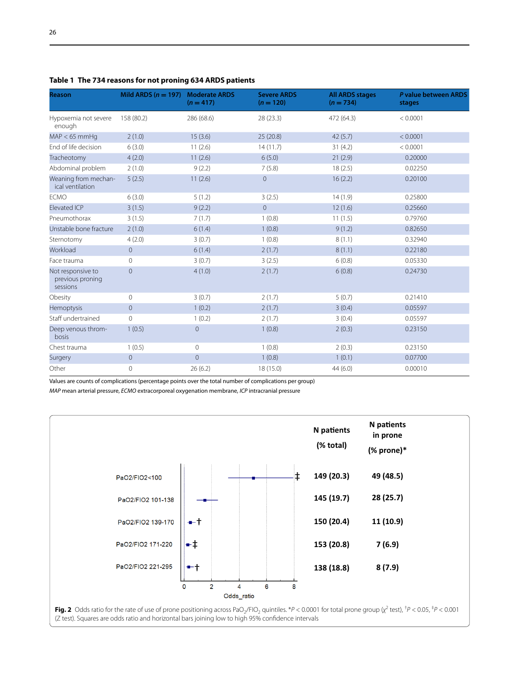| <b>Reason</b>                                     | Mild ARDS $(n = 197)$ | <b>Moderate ARDS</b><br>$(n = 417)$ | <b>Severe ARDS</b><br>$(n = 120)$ | <b>All ARDS stages</b><br>$(n = 734)$ | P value between ARDS<br>stages |
|---------------------------------------------------|-----------------------|-------------------------------------|-----------------------------------|---------------------------------------|--------------------------------|
| Hypoxemia not severe<br>enough                    | 158 (80.2)            | 286 (68.6)                          | 28 (23.3)                         | 472 (64.3)                            | < 0.0001                       |
| $MAP < 65$ mmHq                                   | 2(1.0)                | 15(3.6)                             | 25(20.8)                          | 42(5.7)                               | < 0.0001                       |
| End of life decision                              | 6(3.0)                | 11(2.6)                             | 14(11.7)                          | 31(4.2)                               | < 0.0001                       |
| Tracheotomy                                       | 4(2.0)                | 11(2.6)                             | 6(5.0)                            | 21(2.9)                               | 0.20000                        |
| Abdominal problem                                 | 2(1.0)                | 9(2.2)                              | 7(5.8)                            | 18(2.5)                               | 0.02250                        |
| Weaning from mechan-<br>ical ventilation          | 5(2.5)                | 11(2.6)                             | $\mathbf 0$                       | 16(2.2)                               | 0.20100                        |
| <b>ECMO</b>                                       | 6(3.0)                | 5(1.2)                              | 3(2.5)                            | 14(1.9)                               | 0.25800                        |
| <b>Elevated ICP</b>                               | 3(1.5)                | 9(2.2)                              | $\overline{0}$                    | 12(1.6)                               | 0.25660                        |
| Pneumothorax                                      | 3(1.5)                | 7(1.7)                              | 1(0.8)                            | 11(1.5)                               | 0.79760                        |
| Unstable bone fracture                            | 2(1.0)                | 6(1.4)                              | 1(0.8)                            | 9(1.2)                                | 0.82650                        |
| Sternotomy                                        | 4(2.0)                | 3(0.7)                              | 1(0.8)                            | 8(1.1)                                | 0.32940                        |
| Workload                                          | $\overline{0}$        | 6(1.4)                              | 2(1.7)                            | 8(1.1)                                | 0.22180                        |
| Face trauma                                       | 0                     | 3(0.7)                              | 3(2.5)                            | 6(0.8)                                | 0.05330                        |
| Not responsive to<br>previous proning<br>sessions | $\mathbf 0$           | 4(1.0)                              | 2(1.7)                            | 6(0.8)                                | 0.24730                        |
| Obesity                                           | $\mathsf{O}\xspace$   | 3(0.7)                              | 2(1.7)                            | 5(0.7)                                | 0.21410                        |
| Hemoptysis                                        | $\overline{0}$        | 1(0.2)                              | 2(1.7)                            | 3(0.4)                                | 0.05597                        |
| Staff undertrained                                | $\mathbf 0$           | 1(0.2)                              | 2(1.7)                            | 3(0.4)                                | 0.05597                        |
| Deep venous throm-<br>bosis                       | 1(0.5)                | $\mathbf 0$                         | 1(0.8)                            | 2(0.3)                                | 0.23150                        |
| Chest trauma                                      | 1(0.5)                | $\circ$                             | 1(0.8)                            | 2(0.3)                                | 0.23150                        |
| Surgery                                           | $\mathbf 0$           | $\mathbf 0$                         | 1(0.8)                            | 1(0.1)                                | 0.07700                        |
| Other                                             | $\mathbf 0$           | 26(6.2)                             | 18 (15.0)                         | 44(6.0)                               | 0.00010                        |

<span id="page-4-0"></span>**Table 1 The 734 reasons for not proning 634 ARDS patients**

Values are counts of complications (percentage points over the total number of complications per group)

*MAP* mean arterial pressure, *ECMO* extracorporeal oxygenation membrane, *ICP* intracranial pressure



<span id="page-4-1"></span>**Fig. 2** Odds ratio for the rate of use of prone positioning across PaO<sub>2</sub>/FIO<sub>2</sub> quintiles. \*P < 0.0001 for total prone group ( $\chi^2$  test), <sup>†</sup>P < 0.05, <sup>‡</sup>P < 0.001 (Z test). Squares are odds ratio and horizontal bars joining low to high 95% confdence intervals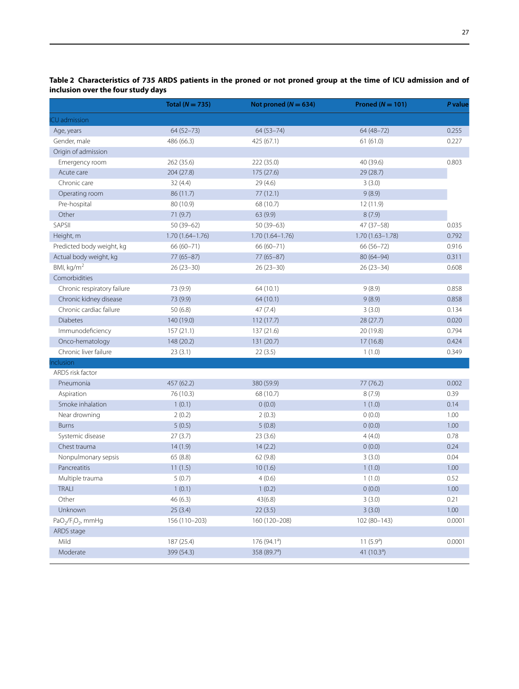|                                                        | Total ( $N = 735$ ) | Not proned ( $N = 634$ ) | Proned ( $N = 101$ ) | P value |
|--------------------------------------------------------|---------------------|--------------------------|----------------------|---------|
| CU admission                                           |                     |                          |                      |         |
| Age, years                                             | $64(52 - 73)$       | $64(53 - 74)$            | $64(48 - 72)$        | 0.255   |
| Gender, male                                           | 486 (66.3)          | 425 (67.1)               | 61(61.0)             | 0.227   |
| Origin of admission                                    |                     |                          |                      |         |
| Emergency room                                         | 262 (35.6)          | 222 (35.0)               | 40 (39.6)            | 0.803   |
| Acute care                                             | 204 (27.8)          | 175 (27.6)               | 29 (28.7)            |         |
| Chronic care                                           | 32(4.4)             | 29(4.6)                  | 3(3.0)               |         |
| Operating room                                         | 86 (11.7)           | 77(12.1)                 | 9(8.9)               |         |
| Pre-hospital                                           | 80 (10.9)           | 68 (10.7)                | 12(11.9)             |         |
| Other                                                  | 71 (9.7)            | 63 (9.9)                 | 8(7.9)               |         |
| SAPSII                                                 | $50(39-62)$         | $50(39-63)$              | $47(37-58)$          | 0.035   |
| Height, m                                              | $1.70(1.64 - 1.76)$ | $1.70(1.64 - 1.76)$      | $1.70(1.63 - 1.78)$  | 0.792   |
| Predicted body weight, kg                              | 66 (60-71)          | 66 (60-71)               | 66 (56-72)           | 0.916   |
| Actual body weight, kg                                 | $77(65 - 87)$       | $77(65 - 87)$            | 80 (64-94)           | 0.311   |
| BMI, kg/m <sup>2</sup>                                 | $26(23-30)$         | $26(23-30)$              | $26(23-34)$          | 0.608   |
| Comorbidities                                          |                     |                          |                      |         |
| Chronic respiratory failure                            | 73 (9.9)            | 64 (10.1)                | 9(8.9)               | 0.858   |
| Chronic kidney disease                                 | 73 (9.9)            | 64 (10.1)                | 9(8.9)               | 0.858   |
| Chronic cardiac failure                                | 50 (6.8)            | 47(7.4)                  | 3(3.0)               | 0.134   |
| <b>Diabetes</b>                                        | 140 (19.0)          | 112 (17.7)               | 28 (27.7)            | 0.020   |
| Immunodeficiency                                       | 157(21.1)           | 137(21.6)                | 20 (19.8)            | 0.794   |
| Onco-hematology                                        | 148 (20.2)          | 131 (20.7)               | 17(16.8)             | 0.424   |
| Chronic liver failure                                  | 23(3.1)             | 22(3.5)                  | 1(1.0)               | 0.349   |
| nclusion                                               |                     |                          |                      |         |
| ARDS risk factor                                       |                     |                          |                      |         |
| Pneumonia                                              | 457 (62.2)          | 380 (59.9)               | 77 (76.2)            | 0.002   |
| Aspiration                                             | 76 (10.3)           | 68 (10.7)                | 8(7.9)               | 0.39    |
| Smoke inhalation                                       | 1(0.1)              | 0(0.0)                   | 1(1.0)               | 0.14    |
| Near drowning                                          | 2(0.2)              | 2(0.3)                   | 0(0.0)               | 1.00    |
| <b>Burns</b>                                           | 5(0.5)              | 5(0.8)                   | 0(0.0)               | 1.00    |
| Systemic disease                                       | 27(3.7)             | 23(3.6)                  | 4(4.0)               | 0.78    |
| Chest trauma                                           | 14(1.9)             | 14(2.2)                  | 0(0.0)               | 0.24    |
| Nonpulmonary sepsis                                    | 65 (8.8)            | 62(9.8)                  | 3(3.0)               | 0.04    |
| Pancreatitis                                           | 11(1.5)             | 10(1.6)                  | 1(1.0)               | 1.00    |
| Multiple trauma                                        | 5(0.7)              | 4(0.6)                   | 1(1.0)               | 0.52    |
| TRALI                                                  | 1(0.1)              | 1(0.2)                   | 0(0.0)               | 1.00    |
| Other                                                  | 46(6.3)             | 43(6.8)                  | 3(3.0)               | 0.21    |
| Unknown                                                | 25(3.4)             | 22(3.5)                  | 3(3.0)               | 1.00    |
| PaO <sub>2</sub> /F <sub>I</sub> O <sub>2</sub> , mmHg | 156 (110-203)       | 160 (120-208)            | $102(80-143)$        | 0.0001  |
| ARDS stage                                             |                     |                          |                      |         |
| Mild                                                   | 187 (25.4)          | 176 (94.1 <sup>a</sup> ) | 11 $(5.9a)$          | 0.0001  |
| Moderate                                               | 399 (54.3)          | 358 (89.7 <sup>a</sup> ) | 41 $(10.3a)$         |         |

<span id="page-5-0"></span>**Table 2 Characteristics of 735 ARDS patients in the proned or not proned group at the time of ICU admission and of inclusion over the four study days**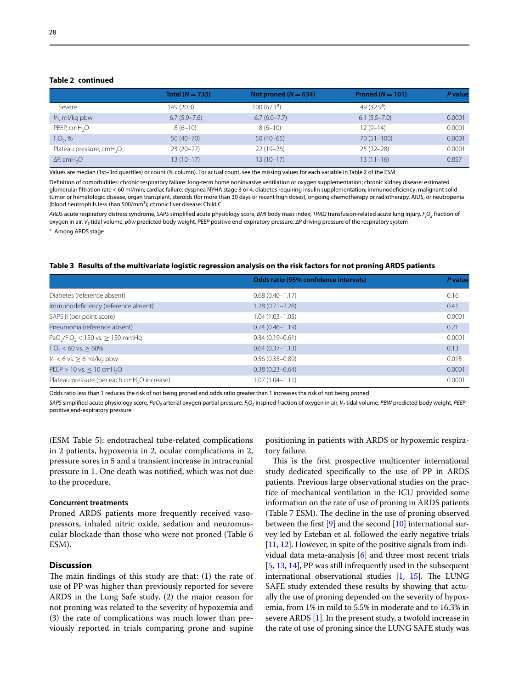# **Table 2 continued**

|                                      | Total $(N = 735)$ | Not proned $(N = 634)$  | Proned ( $N = 101$ )       | P value |
|--------------------------------------|-------------------|-------------------------|----------------------------|---------|
| Severe                               | 149 (20.3)        | 100(67.1 <sup>a</sup> ) | 49 $(32.9)$ <sup>a</sup> ) |         |
| $V_T$ , ml/kg pbw                    | $6.7(5.9 - 7.6)$  | $6.7(6.0 - 7.7)$        | $6.1(5.5 - 7.0)$           | 0.0001  |
| PEEP, cmH <sub>2</sub> O             | $8(6-10)$         | $8(6-10)$               | $12(9-14)$                 | 0.0001  |
| $F_1O_2$ , %                         | $50(40 - 70)$     | $50(40-65)$             | $70(51 - 100)$             | 0.0001  |
| Plateau pressure, cmH <sub>2</sub> O | $23(20-27)$       | $22(19-26)$             | $25(22-28)$                | 0.0001  |
| $\Delta P$ , cmH <sub>2</sub> O      | $13(10-17)$       | $13(10-17)$             | $13(11-16)$                | 0.857   |

Values are median (1st–3rd quartiles) or count (% column). For actual count, see the missing values for each variable in Table 2 of the ESM

Defnition of comorbidities: chronic respiratory failure: long-term home noninvasive ventilation or oxygen supplementation; chronic kidney disease: estimated glomerular fltration rate < 60 ml/min; cardiac failure: dyspnea NYHA stage 3 or 4; diabetes requiring insulin supplementation; immunodefciency: malignant solid tumor or hematologic disease, organ transplant, steroids (for more than 30 days or recent high doses), ongoing chemotherapy or radiotherapy, AIDS, or neutropenia (blood neutrophils less than 500/mm<sup>3</sup>); chronic liver disease: Child C

*ARDS* acute respiratory distress syndrome, *SAPS* simplifed acute physiology score, *BMI* body mass index, *TRALI* transfusion-related acute lung injury, *FI O2* fraction of oxygen in air, *VT* tidal volume, *pbw* predicted body weight, *PEEP* positive end-expiratory pressure, *∆P* driving pressure of the respiratory system

a Among ARDS stage

#### <span id="page-6-0"></span>**Table 3 Results of the multivariate logistic regression analysis on the risk factors for not proning ARDS patients**

|                                                                           | Odds ratio (95% confidence intervals) | P value |
|---------------------------------------------------------------------------|---------------------------------------|---------|
| Diabetes (reference absent)                                               | $0.68(0.40 - 1.17)$                   | 0.16    |
| Immunodeficiency (reference absent)                                       | $1.28(0.71 - 2.28)$                   | 0.41    |
| SAPS II (per point score)                                                 | $1.04(1.03 - 1.05)$                   | 0.0001  |
| Pneumonia (reference absent)                                              | $0.74(0.46 - 1.19)$                   | 0.21    |
| PaO <sub>2</sub> /F <sub>1</sub> O <sub>2</sub> < 150 vs. $\geq$ 150 mmHg | $0.34(0.19 - 0.61)$                   | 0.0001  |
| $F_1O_2$ < 60 vs. $\geq$ 60%                                              | $0.64(0.37-1.13)$                     | 0.13    |
| $V_T < 6$ vs. $\geq 6$ ml/kg pbw                                          | $0.56(0.35 - 0.89)$                   | 0.015   |
| PEEP > 10 vs. $\leq$ 10 cmH <sub>2</sub> O                                | $0.38(0.23 - 0.64)$                   | 0.0001  |
| Plateau pressure (per each cmH <sub>2</sub> O increase)                   | 1.07 (1.04–1.11)                      | 0.0001  |

Odds ratio less than 1 reduces the risk of not being proned and odds ratio greater than 1 increases the risk of not being proned

*SAPS* simplifed acute physiology score, *PaO2* arterial oxygen partial pressure, *FI O2* inspired fraction of oxygen in air, *VT* tidal volume, *PBW* predicted body weight, *PEEP* positive end-expiratory pressure

(ESM Table 5): endotracheal tube-related complications in 2 patients, hypoxemia in 2, ocular complications in 2, pressure sores in 5 and a transient increase in intracranial pressure in 1. One death was notifed, which was not due to the procedure.

#### **Concurrent treatments**

Proned ARDS patients more frequently received vasopressors, inhaled nitric oxide, sedation and neuromuscular blockade than those who were not proned (Table 6 ESM).

## **Discussion**

The main findings of this study are that:  $(1)$  the rate of use of PP was higher than previously reported for severe ARDS in the Lung Safe study, (2) the major reason for not proning was related to the severity of hypoxemia and (3) the rate of complications was much lower than previously reported in trials comparing prone and supine positioning in patients with ARDS or hypoxemic respiratory failure.

This is the first prospective multicenter international study dedicated specifcally to the use of PP in ARDS patients. Previous large observational studies on the practice of mechanical ventilation in the ICU provided some information on the rate of use of proning in ARDS patients (Table 7 ESM). The decline in the use of proning observed between the first  $[9]$  $[9]$  and the second  $[10]$  $[10]$  $[10]$  international survey led by Esteban et al. followed the early negative trials [[11](#page-15-10), [12](#page-15-11)]. However, in spite of the positive signals from individual data meta-analysis  $[6]$  $[6]$  and three most recent trials [[5,](#page-15-4) [13,](#page-15-12) [14\]](#page-15-13), PP was still infrequently used in the subsequent international observational studies  $[1, 15]$  $[1, 15]$  $[1, 15]$  $[1, 15]$ . The LUNG SAFE study extended these results by showing that actually the use of proning depended on the severity of hypoxemia, from 1% in mild to 5.5% in moderate and to 16.3% in severe ARDS [\[1\]](#page-15-0). In the present study, a twofold increase in the rate of use of proning since the LUNG SAFE study was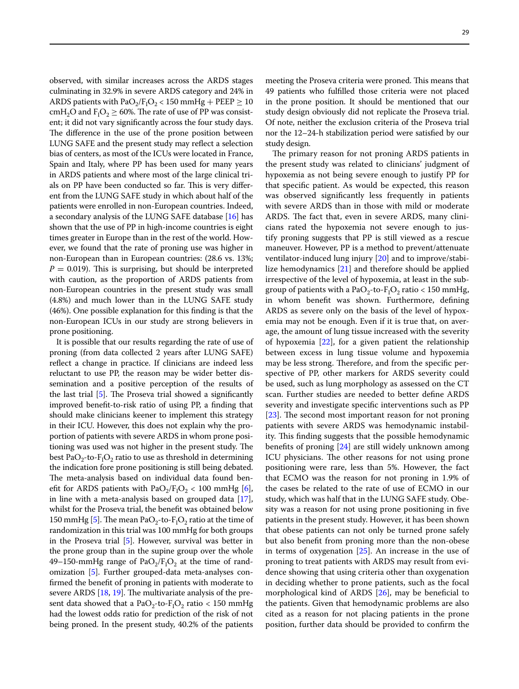observed, with similar increases across the ARDS stages culminating in 32.9% in severe ARDS category and 24% in ARDS patients with  $PaO_2/F_1O_2 < 150$  mmHg + PEEP  $\geq 10$ cm $H_2O$  and  $F_1O_2 \ge 60\%$ . The rate of use of PP was consistent; it did not vary signifcantly across the four study days. The difference in the use of the prone position between LUNG SAFE and the present study may refect a selection bias of centers, as most of the ICUs were located in France, Spain and Italy, where PP has been used for many years in ARDS patients and where most of the large clinical trials on PP have been conducted so far. This is very different from the LUNG SAFE study in which about half of the patients were enrolled in non-European countries. Indeed, a secondary analysis of the LUNG SAFE database [[16](#page-15-15)] has shown that the use of PP in high-income countries is eight times greater in Europe than in the rest of the world. However, we found that the rate of proning use was higher in non-European than in European countries: (28.6 vs. 13%;  $P = 0.019$ ). This is surprising, but should be interpreted with caution, as the proportion of ARDS patients from non-European countries in the present study was small (4.8%) and much lower than in the LUNG SAFE study (46%). One possible explanation for this fnding is that the non-European ICUs in our study are strong believers in prone positioning.

It is possible that our results regarding the rate of use of proning (from data collected 2 years after LUNG SAFE) refect a change in practice. If clinicians are indeed less reluctant to use PP, the reason may be wider better dissemination and a positive perception of the results of the last trial  $[5]$  $[5]$ . The Proseva trial showed a significantly improved beneft-to-risk ratio of using PP, a fnding that should make clinicians keener to implement this strategy in their ICU. However, this does not explain why the proportion of patients with severe ARDS in whom prone positioning was used was not higher in the present study. The best Pa $O_2$ -to- $F_1O_2$  ratio to use as threshold in determining the indication fore prone positioning is still being debated. The meta-analysis based on individual data found benefit for ARDS patients with  $PaO<sub>2</sub>/F<sub>1</sub>O<sub>2</sub> < 100$  mmHg [\[6](#page-15-5)], in line with a meta-analysis based on grouped data [[17](#page-15-16)], whilst for the Proseva trial, the beneft was obtained below 150 mmHg [[5\]](#page-15-4). The mean PaO<sub>2</sub>-to-F<sub>I</sub>O<sub>2</sub> ratio at the time of randomization in this trial was 100 mmHg for both groups in the Proseva trial [\[5](#page-15-4)]. However, survival was better in the prone group than in the supine group over the whole 49–150-mmHg range of Pa $O_2/F_1O_2$  at the time of randomization [[5](#page-15-4)]. Further grouped-data meta-analyses confrmed the beneft of proning in patients with moderate to severe ARDS  $[18, 19]$  $[18, 19]$  $[18, 19]$  $[18, 19]$ . The multivariate analysis of the present data showed that a Pa $O_2$ -to- $F_1O_2$  ratio < 150 mmHg had the lowest odds ratio for prediction of the risk of not being proned. In the present study, 40.2% of the patients

meeting the Proseva criteria were proned. This means that 49 patients who fulflled those criteria were not placed in the prone position. It should be mentioned that our study design obviously did not replicate the Proseva trial. Of note, neither the exclusion criteria of the Proseva trial nor the 12–24-h stabilization period were satisfed by our study design.

The primary reason for not proning ARDS patients in the present study was related to clinicians' judgment of hypoxemia as not being severe enough to justify PP for that specifc patient. As would be expected, this reason was observed signifcantly less frequently in patients with severe ARDS than in those with mild or moderate ARDS. The fact that, even in severe ARDS, many clinicians rated the hypoxemia not severe enough to justify proning suggests that PP is still viewed as a rescue maneuver. However, PP is a method to prevent/attenuate ventilator-induced lung injury [[20\]](#page-15-19) and to improve/stabilize hemodynamics [\[21](#page-15-20)] and therefore should be applied irrespective of the level of hypoxemia, at least in the subgroup of patients with a PaO<sub>2</sub>-to- $F_1O_2$  ratio < 150 mmHg, in whom beneft was shown. Furthermore, defning ARDS as severe only on the basis of the level of hypoxemia may not be enough. Even if it is true that, on average, the amount of lung tissue increased with the severity of hypoxemia [\[22](#page-15-21)], for a given patient the relationship between excess in lung tissue volume and hypoxemia may be less strong. Therefore, and from the specific perspective of PP, other markers for ARDS severity could be used, such as lung morphology as assessed on the CT scan. Further studies are needed to better defne ARDS severity and investigate specifc interventions such as PP [ $23$ ]. The second most important reason for not proning patients with severe ARDS was hemodynamic instability. This finding suggests that the possible hemodynamic benefts of proning [[24\]](#page-15-23) are still widely unknown among ICU physicians. The other reasons for not using prone positioning were rare, less than 5%. However, the fact that ECMO was the reason for not proning in 1.9% of the cases be related to the rate of use of ECMO in our study, which was half that in the LUNG SAFE study. Obesity was a reason for not using prone positioning in fve patients in the present study. However, it has been shown that obese patients can not only be turned prone safely but also beneft from proning more than the non-obese in terms of oxygenation  $[25]$ . An increase in the use of proning to treat patients with ARDS may result from evidence showing that using criteria other than oxygenation in deciding whether to prone patients, such as the focal morphological kind of ARDS [\[26](#page-15-25)], may be benefcial to the patients. Given that hemodynamic problems are also cited as a reason for not placing patients in the prone position, further data should be provided to confrm the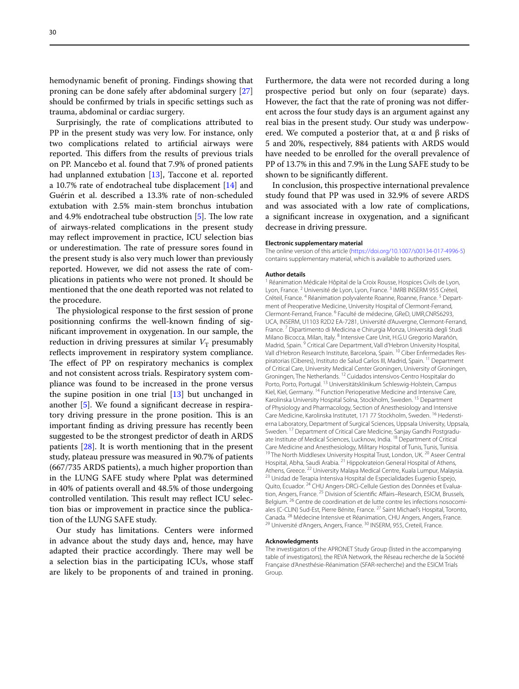hemodynamic beneft of proning. Findings showing that proning can be done safely after abdominal surgery [[27](#page-15-26)] should be confrmed by trials in specifc settings such as trauma, abdominal or cardiac surgery.

Surprisingly, the rate of complications attributed to PP in the present study was very low. For instance, only two complications related to artifcial airways were reported. This differs from the results of previous trials on PP. Mancebo et al. found that 7.9% of proned patients had unplanned extubation [[13\]](#page-15-12), Taccone et al. reported a 10.7% rate of endotracheal tube displacement [\[14](#page-15-13)] and Guérin et al. described a 13.3% rate of non-scheduled extubation with 2.5% main-stem bronchus intubation and 4.9% endotracheal tube obstruction  $[5]$  $[5]$ . The low rate of airways-related complications in the present study may refect improvement in practice, ICU selection bias or underestimation. The rate of pressure sores found in the present study is also very much lower than previously reported. However, we did not assess the rate of complications in patients who were not proned. It should be mentioned that the one death reported was not related to the procedure.

The physiological response to the first session of prone positionning confrms the well-known fnding of signifcant improvement in oxygenation. In our sample, the reduction in driving pressures at similar  $V<sub>T</sub>$  presumably reflects improvement in respiratory system compliance. The effect of PP on respiratory mechanics is complex and not consistent across trials. Respiratory system compliance was found to be increased in the prone versus the supine position in one trial  $[13]$  $[13]$  but unchanged in another [\[5](#page-15-4)]. We found a signifcant decrease in respiratory driving pressure in the prone position. This is an important fnding as driving pressure has recently been suggested to be the strongest predictor of death in ARDS patients [[28\]](#page-15-27). It is worth mentioning that in the present study, plateau pressure was measured in 90.7% of patients (667/735 ARDS patients), a much higher proportion than in the LUNG SAFE study where Pplat was determined in 40% of patients overall and 48.5% of those undergoing controlled ventilation. This result may reflect ICU selection bias or improvement in practice since the publication of the LUNG SAFE study.

Our study has limitations. Centers were informed in advance about the study days and, hence, may have adapted their practice accordingly. There may well be a selection bias in the participating ICUs, whose staf are likely to be proponents of and trained in proning.

Furthermore, the data were not recorded during a long prospective period but only on four (separate) days. However, the fact that the rate of proning was not diferent across the four study days is an argument against any real bias in the present study. Our study was underpowered. We computed a posterior that, at  $\alpha$  and  $\beta$  risks of 5 and 20%, respectively, 884 patients with ARDS would have needed to be enrolled for the overall prevalence of PP of 13.7% in this and 7.9% in the Lung SAFE study to be shown to be signifcantly diferent.

In conclusion, this prospective international prevalence study found that PP was used in 32.9% of severe ARDS and was associated with a low rate of complications, a signifcant increase in oxygenation, and a signifcant decrease in driving pressure.

#### **Electronic supplementary material**

The online version of this article ([https://doi.org/10.1007/s00134-017-4996-5\)](https://doi.org/10.1007/s00134-017-4996-5) contains supplementary material, which is available to authorized users.

#### **Author details**

<sup>1</sup> Réanimation Médicale Hôpital de la Croix Rousse, Hospices Civils de Lyon, Lyon, France.<sup>2</sup> Université de Lyon, Lyon, France.<sup>3</sup> IMRB INSERM 955 Créteil, Créteil, France. <sup>4</sup> Réanimation polyvalente Roanne, Roanne, France. <sup>5</sup> Department of Preoperative Medicine, University Hospital of Clermont-Ferrand, Clermont‑Ferrand, France. <sup>6</sup> Faculté de médecine, GReD, UMR,CNRS6293, UCA, INSERM, U1103 R2D2 EA‑7281, Université d'Auvergne, Clermont‑Ferrand, France. 7 Dipartimento di Medicina e Chirurgia Monza, Università degli Studi Milano Bicocca, Milan, Italy. <sup>8</sup> Intensive Care Unit, H.G.U Gregorio Marañón, Madrid, Spain. 9 Critical Care Department, Vall d'Hebron University Hospital, Vall d'Hebron Research Institute, Barcelona, Spain. <sup>10</sup> Ciber Enfermedades Respiratorias (Ciberes), Instituto de Salud Carlos III, Madrid, Spain. 11 Department of Critical Care, University Medical Center Groningen, University of Groningen, Groningen, The Netherlands. <sup>12</sup> Cuidados intensivos-Centro Hospitalar do Porto, Porto, Portugal. 13 Universitätsklinikum Schleswig-Holstein, Campus Kiel, Kiel, Germany.<sup>14</sup> Function Perioperative Medicine and Intensive Care, Karolinska University Hospital Solna, Stockholm, Sweden. 15 Department of Physiology and Pharmacology, Section of Anesthesiology and Intensive Care Medicine, Karolinska Institutet, 171 77 Stockholm, Sweden. <sup>16</sup> Hedenstierna Laboratory, Department of Surgical Sciences, Uppsala University, Uppsala, Sweden. <sup>17</sup> Department of Critical Care Medicine, Sanjay Gandhi Postgraduate Institute of Medical Sciences, Lucknow, India. 18 Department of Critical Care Medicine and Anesthesiology, Military Hospital of Tunis, Tunis, Tunisia.<br><sup>19</sup> The North Middlesex University Hospital Trust, London, UK. <sup>20</sup> Aseer Central Hospital, Abha, Saudi Arabia. <sup>21</sup> Hippokrateion General Hospital of Athens, Athens, Greece. <sup>22</sup> University Malaya Medical Centre, Kuala Lumpur, Malaysia. <sup>23</sup> Unidad de Terapia Intensiva Hospital de Especialidades Eugenio Espejo, Quito, Ecuador. <sup>24</sup> CHU Angers-DRCi-Cellule Gestion des Données et Evaluation, Angers, France.<sup>25</sup> Division of Scientific Affairs–Research, ESICM, Brussels, Belgium. <sup>26</sup> Centre de coordination et de lutte contre les infections nosocomiales (C-CLIN) Sud-Est, Pierre Bénite, France. 27 Saint Michael's Hospital, Toronto, Canada. <sup>28</sup> Médecine Intensive et Réanimation, CHU Angers, Angers, France. <sup>29</sup> Université d'Angers, Angers, France.

#### **Acknowledgments**

The investigators of the APRONET Study Group (listed in the accompanying table of investigators), the REVA Network, the Réseau recherche de la Société Française d'Anesthésie-Réanimation (SFAR-recherche) and the ESICM Trials Group.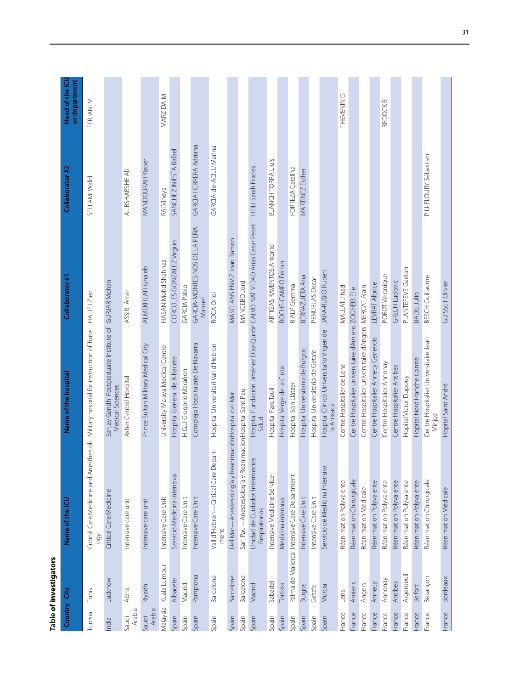| ŗ<br>ı |
|--------|
|        |
|        |
|        |
|        |
|        |

| Country City    |               | Name of the ICU                                       | Name of the hospital                                                              | Collaborator #1                        | Collaborator #2           | Head of the ICU<br>or department |
|-----------------|---------------|-------------------------------------------------------|-----------------------------------------------------------------------------------|----------------------------------------|---------------------------|----------------------------------|
| Tunisia         | Tunis         | Critical Care Medicine and Anest<br>QÓO               | thesiol- Military hospital for instruction of Tunis HAJJEJ Zied                   |                                        | SELLAMI Walid             | FERJANI M                        |
| India           | Lucknow       | Critical Care Medicine                                | Sanjay Gandhi Postgraduate Institute of GURJAR Mohan<br>Medical Sciences          |                                        |                           |                                  |
| Arabia<br>Saudi | Abha          | Intensive care unit                                   | Asher Central Hospital                                                            | ASSIRI Amer                            | AL BSHABSHE Ali           |                                  |
| Arabia<br>Saudi | Riyadh        | Intensive care unit                                   | Prince Sultan Military Medical City                                               | ALMEKHLAFI Ghaleb                      | MANDOURAH Yasser          |                                  |
| Malaysia        | Kuala Lumpur  | Intensive Care Unit                                   | University Malaya Medical Centre                                                  | HASAN Mohd Shahnaz                     | RAI Vineya                | MARZIDA M                        |
| Spain           | Albacete      | Servicio Medicina intensiva                           | Hospital General de Albacete                                                      | CORCOLES GONZALEZ Virgilio             | SANCHEZ INIESTA Rafael    |                                  |
| Spain           | Madrid        | ntensive Care Unit                                    | H.G.U Gregorio Marañon                                                            | GARCIA Pablo                           |                           |                                  |
| Spain           | Pamplona      | Intensive Care Unit                                   | Complejo Hospitalario De Navarra                                                  | GARCIA-MONTESINOS DE LA PEÑA<br>Manuel | GARCIA HERRERA Adriana    |                                  |
| Spain           | Barcelone     | Vall d'Hebron-Critical Care Depart-<br>ment           | Hospital Universitari Vall d'Hebron                                               | ROCA Oriol                             | GARCIA-de-ACILU Marina    |                                  |
| Spain           | Barcelone     | Del Mar—Anestesiología y Reanimación Hospital del Mar |                                                                                   | MASCLANS ENVIZ Joan Ramon              |                           |                                  |
| Spain           | Barcelone     | San Pau—Anestesiología y ReanimaciónHospital Sant Pau |                                                                                   | MANCEBO Jordi                          |                           |                                  |
| Spain           | Madrid        | Unidad de Cuidados Intermedios<br>Respiratorios       | Hospital Fundación Jiménez Díaz-Quirón CALVO NATIVIDAD Arias Cesar Peset<br>Salud |                                        | <b>HEILI Sarah Frades</b> |                                  |
| Spain           | Sabadell      | Intensive Medicine Service                            | Hospital Parc Tauli                                                               | ARTIGAS RAVENTOS Antonio               | <b>BLANCH TORRA Lluís</b> |                                  |
| Spain           | Tortosa       | Medicina intensiva                                    | Hospital Verge de la Cinta                                                        | ROCHE-CAMPO Ferran                     |                           |                                  |
| Spain           |               | Palma de Mallorca Intensive Care Department           | Hospital Son Llàtzer                                                              | RIALP Gemma                            | FORTEZA Catalina          |                                  |
| Spain           | <b>Burgos</b> | Intensive Care Unit                                   | Hospital Universitario de Burgos                                                  | BERRAZUETA Ana                         | MARTINEZ Esther           |                                  |
| Spain           | Getafe        | Intensive Care Unit                                   | Hospital Universitario de Getafe                                                  | PENUELAS Oscar                         |                           |                                  |
| Spain           | Murcia        | Servicio de Medicina Intensiva                        | Hospital Clínico Universitario Virgen de<br>la Arrixaca                           | JARA-RUBIO Ruben                       |                           |                                  |
| France          | Lens          | Réanimation Polyvalente                               | Centre Hospitalier de Lens                                                        | MALLAT Jihad                           |                           | THEVENIN D                       |
| France          | Amiens        | Réanimation Chirurgicale                              | Centre Hospitalier universitaire d'Amiens ZOGHEIB Elie                            |                                        |                           |                                  |
| France          | Angers        | Réanimation Médicale                                  | Centre Hospitalier universitaire d'Angers MERCAT Alain                            |                                        |                           |                                  |
| France          | Annecy        | Réanimation Polyvalente                               | Centre Hospitalier Annecy Genevois                                                | LEVRAT Albrice                         |                           |                                  |
| France          | Annonay       | Réanimation Polyvalente                               | Centre Hospitalier Annonay                                                        | POROT Veronique                        |                           | BEDOCK B                         |
| France          | Antibes       | Réanimation Polyvalente                               | Centre Hospitalier Antibes                                                        | <b>GRECH Ludovic</b>                   |                           |                                  |
| France          | Argenteuil    | Réanimation Polyvalente                               | Hopital Victor Dupouy                                                             | PLANTEFEVE Gaetan                      |                           |                                  |
| France          | Belfort       | Réanimation Polyvalente                               | Hopital Nord Franche Comtè                                                        | <b>BADIE Julio</b>                     |                           |                                  |
| France          | Besançon      | Réanimation Chirurgicale                              | Centre Hospitalier Universitaire Jean<br>Minjoz                                   | BESCH Guillaume                        | PILI-FLOURY Sébastien     |                                  |
| France          | Bordeaux      | Réanimation Médicale                                  | Hopital Saint André                                                               | GUISSET Olivier                        |                           |                                  |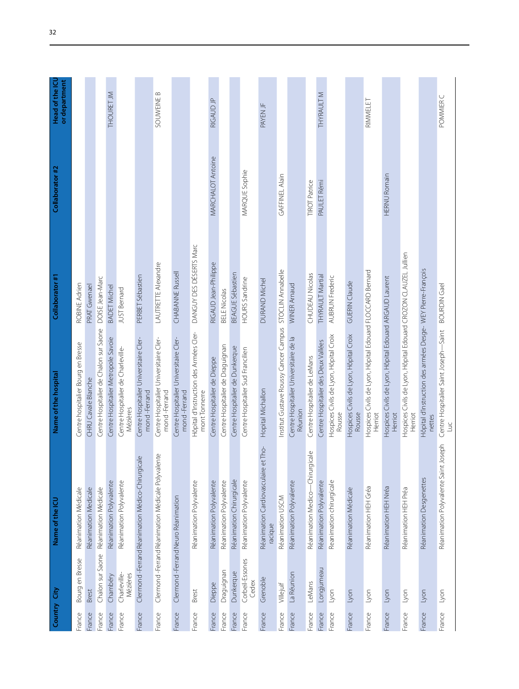| Country City |                          | Name of the ICU                                    | Name of the hospital                                                       | Collaborator #1         | Collaborator #2      | Head of the ICL<br>or department |
|--------------|--------------------------|----------------------------------------------------|----------------------------------------------------------------------------|-------------------------|----------------------|----------------------------------|
| France       | Bourg en Bresse          | Réanimation Médicale                               | Centre hospitalier Bourg en Bresse                                         | ROBINE Adrien           |                      |                                  |
| France       | Brest                    | Réanimation Medicale                               | CHRU Cavale Blanche                                                        | PRAT Gwenael            |                      |                                  |
| France       | Chalon sur Saone         | Réanimation Médicale                               | Centre Hospitalier de Chalon sur Saone                                     | DOISE Jean-Marc         |                      |                                  |
| France       | Chambéry                 | Réanimation Polyvalente                            | Centre Hospitalier Metropole Savoie                                        | <b>BADET Michel</b>     |                      | THOURET JM                       |
| France       | Charleville-<br>Mézières | Réanimation Polyvalente                            | Centre Hospitalier de Charleville-<br>Mézières                             | <b>JUST Bernard</b>     |                      |                                  |
| France       |                          | Clermond-Ferrand Réanimation Médico-Chirurgicale   | Centre Hospitalier Universitaire Cler-<br>mond-Ferrand                     | PERBET Sébastien        |                      |                                  |
| France       |                          | Clermond-Ferrand Réanimation Médicale Polyvalente  | Centre Hospitalier Universitaire Cler-<br>mond-Ferrand                     | LAUTRETTE Alexandre     |                      | SOUWEINE B                       |
| France       |                          | Clermond-Ferrand Neuro Réanimation                 | Centre Hospitalier Universitaire Cler-<br>mond-Ferrand                     | CHABANNE Russell        |                      |                                  |
| France       | Brest                    | Réanimation Polyvalente                            | Hôpital d'Instruction des Armées Cler-<br>mont Tonnerre                    | DANGUY DES DÉSERTS Marc |                      |                                  |
| France       | Dieppe                   | Réanimation Polyvalente                            | Centre Hospitalier de Dieppe                                               | RIGAUD Jean-Philippe    | MARCHALOT Antoine    | RIGAUD JP                        |
| France       | Draguignan               | Réanimation Polyvalente                            | Centre Hospitalier de Draguignan                                           | <b>BELE Nicolas</b>     |                      |                                  |
| France       | Dunkerque                | Réanimation Chirurgicale                           | Centre Hospitalier de Dunkerque                                            | BEAGUE Sébastien        |                      |                                  |
| France       | Corbeil-Essones<br>Cedex | Réanimation Polyvalente                            | Centre Hospitalier Sud Francilien                                          | <b>HOURS Sandrine</b>   | MARQUE Sophie        |                                  |
| France       | Grenoble                 | Tho-<br>Réanimation Cardiovasculaire et<br>racique | Hopital Michallon                                                          | DURAND Michel           |                      | PAYEN JF                         |
| France       | Villejuif                | Réanimation USCM                                   | Institut Gustave Roussy Cancer Campus STOCLIN Annabelle                    |                         | GAFFINEL Alain       |                                  |
| France       | La Réunion               | Réanimation Polyvalente                            | Centre Hospitalier Universitaire de la<br>Réunion                          | <b>WINER Arnaud</b>     |                      |                                  |
| France       | LeMans                   | Réanimation Medico-Chirurgicale                    | Centre Hospitalier de LeMans                                               | CHUDEAU Nicolas         | <b>TIROT Patrice</b> |                                  |
| France       | Longjumeau               | Réanimation Polyvalente                            | Centre Hospitalier des Deux Vallées                                        | <b>THYRAULT Martial</b> | PAULET Rémi          | <b>THYRAULT M</b>                |
| France       | Lyon                     | Reanimation chirurgicale                           | Hospices Civils de Lyon, Hôpital Croix<br>Rousse                           | <b>AUBRUN Frederic</b>  |                      |                                  |
| France       | Lyon                     | Réanimation Médicale                               | Hospices Civils de Lyon, Hôpital Croix<br>Rousse                           | <b>GUERIN Claude</b>    |                      |                                  |
| France       | lyon                     | Réanimation HEH Gréa                               | Hospices Civils de Lyon, Hôpital Edouard FLOCCARD Bernard<br>Herriot       |                         |                      | RIMMELET                         |
| France       | Lyon                     | Réanimation HEH Nréa                               | Hospices Civils de Lyon, Hôpital Edouard ARGAUD Laurent<br>Herriot         |                         | <b>HERNU Romain</b>  |                                  |
| France       | Lyon                     | Réanimation HEH Préa                               | Hospices Civils de Lyon, Hôpital Edouard CROZON CLAUZEL Jullien<br>Herriot |                         |                      |                                  |
| France       | Lyon                     | Réanimation Desgenettes                            | Hôpital d'instruction des armées Desge-WEY Pierre-François<br>nettes       |                         |                      |                                  |
| France       | Lyon                     | Réanimation Polyvalente Saint Joseph               | Centre Hospitalier Saint Joseph-Saint BOURDIN Gael<br>Luc                  |                         |                      | POMMIER C                        |
|              |                          |                                                    |                                                                            |                         |                      |                                  |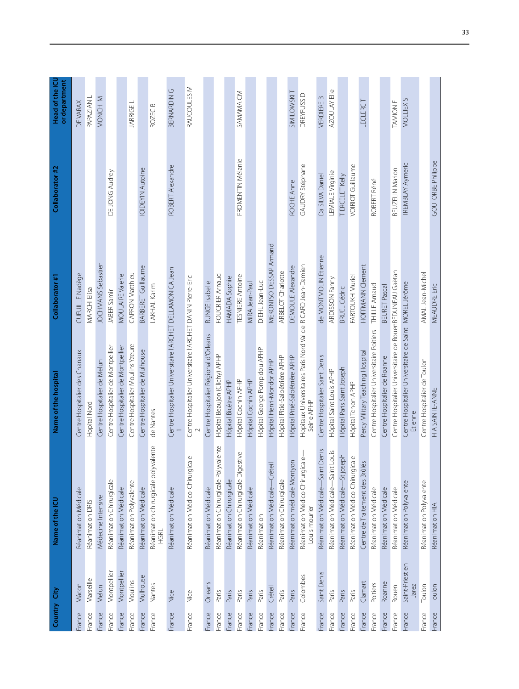| Country | Ĝ                        | Name of the ICU                                   | Name of the hospital                                                       | Collaborator #1          | Collaborator #2          | Head of the ICL<br>or department |
|---------|--------------------------|---------------------------------------------------|----------------------------------------------------------------------------|--------------------------|--------------------------|----------------------------------|
| France  | Mâcon                    | Réanimation Médicale                              | Centre Hospitalier des Chanaux                                             | CUEUILLE Nadège          |                          | DE VARAX                         |
| France  | Marseille                | Réanimation DRIS                                  | Hopital Nord                                                               | <b>MARCHI Elisa</b>      |                          | PAPAZIAN L                       |
| France  | Melun                    | Médecine Intensive                                | Centre Hospitalier de Melun                                                | JOCHMANS Sebastien       |                          | MONCHI M                         |
| France  | Montpellier              | Réanimation Chirurgicale                          | Centre Hospitalier de Montpellier                                          | JABER Samir              | DE JONG Audrey           |                                  |
| France  | Montpellier              | Réanimation Médicale                              | Centre Hospitalier de Montpellier                                          | <b>MOULAIRE Valerie</b>  |                          |                                  |
| France  | Moulins                  | Réanimation Polyvalente                           | Centre Hospitalier Moulins Yzeure                                          | CAPRON Matthieu          |                          | JARRIGE L                        |
| France  | Mulhouse                 | Réanimation Médicale                              | Centre Hospitalier de Mulhouse                                             | BARBERET Guillaume       | <b>IOIDEYIN Autoine</b>  |                                  |
| France  | Nantes                   | Réanimation chirurgicale polyvalente<br>HGRL      | de Nantes                                                                  | LAKHAL Karim             |                          | ROZEC <sub>B</sub>               |
| France  | Nice                     | Réanimation Médicale                              | Centre Hospitalier Universitaire l'ARCHET DELLAMONICA Jean                 |                          | ROBERT Alexandre         | BERNARDING                       |
| France  | Nice                     | Réanimation Médico-Chirurgicale                   | Centre Hospitalier Universitaire l'ARCHET DANIN Pierre-Eric                |                          |                          | RAUCOULES M                      |
| France  | Orleans                  | Réanimation Médicale                              | Centre Hospitalier Régional d'Orleans                                      | RUNGE Isabelle           |                          |                                  |
| France  | Paris                    | Réanimation Chirurgicale Polyvalente              | Hôpital Beaujon (Clichy) APHP                                              | FOUCRIER Arnaud          |                          |                                  |
| France  | Paris                    | Réanimation Chirurgicale                          | Hôpital Bicêtre APHP                                                       | HAMADA Sophie            |                          |                                  |
| France  | Paris                    | Réanimation Chirurgicale Digestive                | Hôpital Cochin APHP                                                        | <b>TESNIERE Antoine</b>  | FROMENTIN Mélanie        | SAMAMA CM                        |
| France  | Paris                    | Réanimation Médicale                              | Hôpital Cochin APHP                                                        | MIRA Jean-Paul           |                          |                                  |
| France  | Paris                    | Réanimation                                       | Hôpital George Pompidou APHP                                               | DIEHL Jean-Luc           |                          |                                  |
| France  | Créteil                  | Réanimation Médicale-Créteil                      | Hôpital Henri-Mondor APHP                                                  | MEKONTSO DESSAP Armand   |                          |                                  |
| France  | Paris                    | Réanimation Chirurgicale                          | Hôpital Pitié-Salpêtrière APHP                                             | ARBELOT Charlotte        |                          |                                  |
| France  | Paris                    | Réanimation médicale Montyon                      | Hôpital Pitié-Salpêtrière APHP                                             | <b>DEMOULE Alexandre</b> | ROCHE Anne               | <b>SIMILOWSKIT</b>               |
| France  | Colombes                 | Réanimation Médico Chirurgicale-<br>Louis mourier | Hopitaux Universitaires Paris Nord Val de RICARD Jean-Damien<br>Seine APHP |                          | GAUDRY Stéphane          | DREYFUSS D                       |
| France  | Saint Denis              | Denis<br>$-Saint$<br>Réanimation Médicale-        | Centre Hospitalier Saint Denis                                             | de MONTMOLIN Etienne     | Da SILVA Daniel          | <b>VERDIERE B</b>                |
| France  | Paris                    | Louis<br>-Saint<br>Réanimation Médicale-          | Hôpital Saint Louis APHP                                                   | ARDISSON Fanny           | LEMIALE Virginie         | AZOULAY Elie                     |
| France  | Paris                    | -St joseph<br>Réanimation Médicale-               | Hôpital Paris Saint Joseph                                                 | <b>BRUEL Cédric</b>      | TIERCELET Kelly          |                                  |
| France  | Paris                    | Réanimation Médico-Chirurgicale                   | Hôpital Tenon APHP                                                         | <b>FARTOUKH Muriel</b>   | VOIRIOT Guillaume        |                                  |
| France  | Clamart                  | Centre de Traitement des Brûlés                   | Percy Military Teaching Hospital                                           | HOFFMANN Clement         |                          | LECLERCT                         |
| France  | Poitiers                 | Réanimation Médicale                              | Centre Hospitalier Universitaire Poitiers                                  | THILLE Arnaud            | ROBERT Réné              |                                  |
| France  | Roanne                   | Réanimation Médicale                              | Centre Hospitalier de Roanne                                               | <b>BEURET Pascal</b>     |                          |                                  |
| France  | Rouen                    | Réanimation Médicale                              | Centre Hospitalier Universitaire de RouenBEDUNEAU Gaëtan                   |                          | BEUZELIN Marion          | <b>TAMION F</b>                  |
| France  | Saint-Priest en<br>Jarez | Réanimation Polyvalente                           | Centre Hospitalier Universitaire de Saint MOREL Jérôme<br>Etienne          |                          | TREMBLAY Aymeric         | MOLLIEX <sub>S</sub>             |
| France  | Toulon                   | Réanimation Polyvalente                           | Centre Hospitalier de Toulon                                               | AMAL Jean-Michel         |                          |                                  |
| France  | Toulon                   | Réanimation HIA                                   | HIA SAINTE-ANNE                                                            | <b>MEAUDRE Eric</b>      | <b>GOUTORBE Philippe</b> |                                  |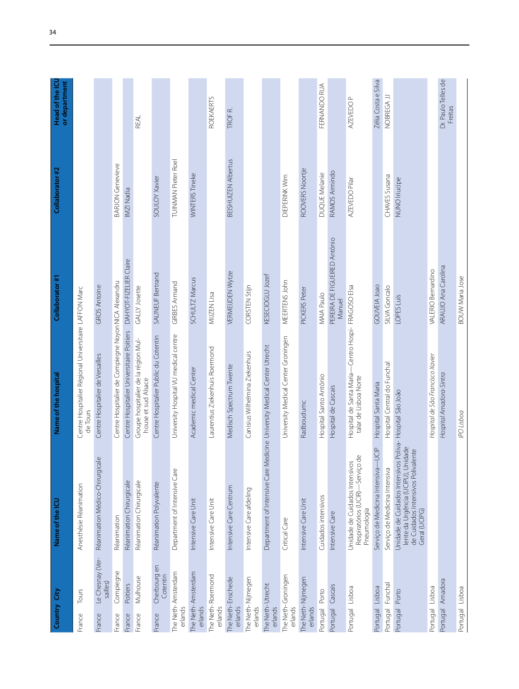| Country City                           | Name of the ICU                                                                                                             | Name of the hospital                                                        | Collaborator #1                        | Collaborator #2            | Head of the ICU<br>or department |
|----------------------------------------|-----------------------------------------------------------------------------------------------------------------------------|-----------------------------------------------------------------------------|----------------------------------------|----------------------------|----------------------------------|
| Tours<br>France                        | Anesthésie Réanimation                                                                                                      | Centre Hospitalier Régional Universitaire LAFFON Marc<br>de Tours           |                                        |                            |                                  |
| Le Chesnay (Ver-<br>sailles)<br>France | $\mathbb U$<br>Réanimation Médico-Chirurgical                                                                               | Centre Hospitalier de Versailles                                            | <b>GROS Antoine</b>                    |                            |                                  |
| Compiegne<br>France                    | Réanimation                                                                                                                 | Centre Hospitalier de Compiegne NoyonNICA Alexandru                         |                                        | BARJON Genevieve           |                                  |
| Poitiers<br>France                     | Réanimation Chirurgicale                                                                                                    | Centre Hospitalier Universitaire Poitiers                                   | DAHYOT-FIZELIER Claire                 | IMZI Nadia                 |                                  |
| Mulhouse<br>France                     | Réanimation Chirurgicale                                                                                                    | Groupe hospitalier de la région Mul-<br>house et sud Alsace                 | GALLY Josette                          |                            | REAL                             |
| Cherbourg en<br>Cotentin<br>France     | Réanimation Polyvalente                                                                                                     | Centre Hospitalier Public du Cotentin                                       | SAUNEUF Bertrand                       | SOULOY Xavier              |                                  |
| The Neth-Amsterdam<br>erlands          | Department of Intensive Care                                                                                                | University Hospital VU medical centre                                       | GIRBES Armand                          | TUINMAN Pieter Roel        |                                  |
| The Neth-Amsterdam<br>erlands          | Intensive Care Unit                                                                                                         | Academic medical Center                                                     | SCHULTZ Marcus                         | WINTERS Tineke             |                                  |
| The Neth-Roermond<br>erlands           | Intensive Care Unit                                                                                                         | Laurentius Ziekenhuis Roermond                                              | MIJZEN Lisa                            |                            | <b>ROEKAERTS</b>                 |
| The Neth-Enschede<br>erlands           | ntensive Care Centrum                                                                                                       | Medisch Spectrum Twente                                                     | VERMEIJDEN Wytze                       | <b>BEISHUIZEN Albertus</b> | TROF <sub>R</sub>                |
| The Neth-Nijmegen<br>erlands           | Intensive Care afdeling                                                                                                     | Canisius Wilhelmina Ziekenhuis                                              | CORSTEN Stijn                          |                            |                                  |
| The Neth-Utrecht<br>erlands            | Department of Intensive Care M                                                                                              | edicine University Medical Center Utrecht                                   | KESECIOGLU Jozef                       |                            |                                  |
| The Neth-Groningen<br>erlands          | Critical Care                                                                                                               | University Medical Center Groningen                                         | MEERTENS John                          | DIEPERINK Wim              |                                  |
| The Neth-Nijmegen<br>erlands           | Intensive Care Unit                                                                                                         | Radboudumc                                                                  | PICKERS Peter                          | ROOVERS Noortje            |                                  |
| Porto<br>Portugal                      | Cuidados intensivos                                                                                                         | Hospital Santo António                                                      | MAIA Paulo                             | <b>DUQUE Melanie</b>       | FERNANDO RUA                     |
| Cascais<br>Portugal                    | Intensive Care                                                                                                              | Hospital de Cascais                                                         | PEREIRA DE FIGUEIRED António<br>Manuel | RAMOS Armindo              |                                  |
| Portugal Lisboa                        | Respiratórios (UCIR) -Serviço de<br>Unidade de Cuidados Intensivos<br>Pneumologia                                           | Hospital de Santa Maria-Centro Hospi- FRAGOSO Elsa<br>talar de Lisboa Norte |                                        | AZEVEDO Pilar              | AZEVEDO P                        |
| Portugal Lisboa                        | -UCIP<br>Serviço de Medicina Intensiva-                                                                                     | Hospital Santa Maria                                                        | GOUVEIA Joao                           |                            | Zélia Costa e Silva              |
| Portugal Funchal                       | Serviço de Medicina Intensiva                                                                                               | Hospital Central do Funchal                                                 | SILVA Goncalo                          | CHAVES Susana              | NOBREGA JJ                       |
| Porto<br>Portugal                      | lente da Urgência (UCIPU), Unidade<br>de Cuidados Intensivos Polivalente<br>Geral (UCIPG)<br>Unidade de Cuidados Intensivos | Poliva- Hospital São João                                                   | LOPES Luís                             | NUNO Iriucipe              |                                  |
| Portugal Lisboa                        |                                                                                                                             | Hospital de São Francisco Xavier                                            | VALERIO Bernardino                     |                            |                                  |
| Portugal Amadora                       |                                                                                                                             | Hospital Amadora-Sintra                                                     | ARAUJO Ana Carolina                    |                            | Dr. Paulo Telles de<br>Freitas   |
| Portugal Lisboa                        |                                                                                                                             | IPO Lisboa                                                                  | <b>BOUW Maria Jose</b>                 |                            |                                  |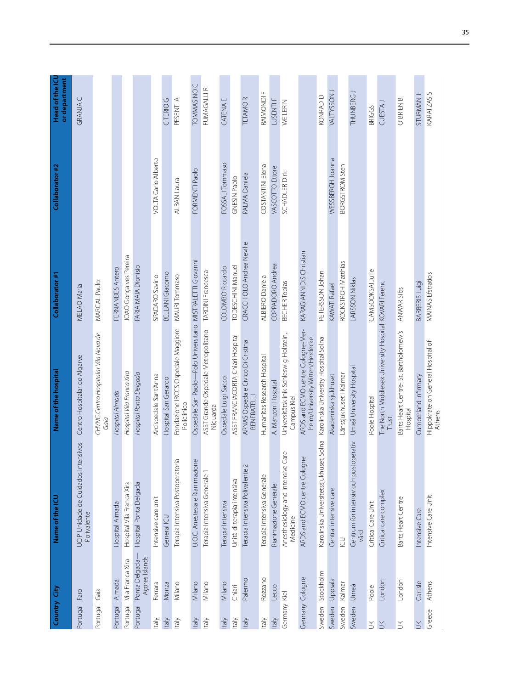| Country City    |                                  | Name of the ICU                                    | Name of the hospital                                                 | Collaborator #1           | Collaborator #2       | Head of the ICL<br>or department |
|-----------------|----------------------------------|----------------------------------------------------|----------------------------------------------------------------------|---------------------------|-----------------------|----------------------------------|
| Portugal        | Faro                             | UCIP Unidade de Cuidados Intensivos<br>Polivalente | Centro Hospitalar do Algarve                                         | MELAO Maria               |                       | GRANJAC                          |
| Portugal        | Gaia                             |                                                    | CHVNG Centro Hospitalar Vila Nova de<br>Gaia                         | MARCAL Paulo              |                       |                                  |
| Portugal        | Almada                           | Hospital Almada                                    | Hospital Almada                                                      | FERNANDES Antero          |                       |                                  |
| Portugal        | Vila Franca Xira                 | Hospital Vila Franca Xira                          | Hospital Vila Franca Xira                                            | JOAO Gonçalves Pereira    |                       |                                  |
| Portugal        | Açores Islands<br>Ponta Delgada- | Hospital Ponta Delgada                             | Hospital Ponta Delgada                                               | FARIA MAIA Dionísio       |                       |                                  |
| Italy           | Ferrara                          | Intensive care unit                                | Arcispedale Sant'Anna                                                | SPADARO Savino            | VOLTA Carlo Alberto   |                                  |
| ltaly           | Monza                            | General ICU                                        | Hospital San Gerardo                                                 | BELLANI Giacomo           |                       | CITERIO G                        |
| Italy           | Milano                           | Terapia Intensiva Postoperatoria                   | Fondazione IRCCS Ospedale Maggiore<br>Policlinico                    | MAURI Tommaso             | ALBAN Laura           | PESENTI A                        |
| ltaly           | Milano                           | $\omega$<br>U.O.C. Anestesia e Rianimazion         | Ospedale San Paolo-Polo Universitario MISTRALETTI Giovanni           |                           | FORMENTI Paolo        | TOMMASINO <sub>C</sub>           |
| Italy           | Milano                           | Terapia Intensiva Generale 1                       | ASST Grande Ospedale Metropolitano<br>Niguarda                       | <b>TARDINI Francesca</b>  |                       | FUMAGALLI R                      |
| Italy           | Milano                           | Terapia Intensiva                                  | Ospedale Luigi Sacco                                                 | <b>COLOMBO Riccardo</b>   | FOSSALI Tommaso       | <b>CATENA E</b>                  |
| Italy           | Chiari                           | Unità di terapia intensiva                         | ASST FRANCIACORTA Chiari Hospital                                    | TODESCHINI Manuel         | GNESIN Paolo          |                                  |
| ltaly           | Palermo                          | Terapia Intensiva Polivalente 2                    | ARNAS Ospedale Civico Di Cristina<br>BENFRATELLI                     | CRACCHIOLO Andrea Neville | PALMA Daniela         | <b>TETAMOR</b>                   |
| <b>Italy</b>    | Rozzano                          | Terapia Intensiva Generale                         | Humanitas Research Hospital                                          | ALBIERO Daniela           | COSTANTINI Elena      | RAIMONDI F                       |
| Italy           | Lecco                            | Rianimazione Generale                              | A. Manzoni Hospital                                                  | COPPADORO Andrea          | VASCOTTO Ettore       | LUSENTI F                        |
| Germany Kiel    |                                  | Anesthesiology and Intensive Care<br>Medicine      | Universitätsklinik Schleswig-Holstein,<br>Campus Kiel                | <b>BECHER Tobias</b>      | SCHÄDLER Dirk         | WEILER N                         |
| Germany Cologne |                                  | ARDS and ECMO centre Cologne                       | ARDS and ECMO centre Cologne-Mer-<br>heim/University Witten/Herdecke | KARAGIANNIDIS Christian   |                       |                                  |
| Sweden          | Stockholm                        | Karolinska Universitetssjukhuset, Solna            | Karolinska University Hospital Solna                                 | PETERSSON Johan           |                       | KONRAD D                         |
| Sweden Uppsala  |                                  | Central intensive care                             | Akademiska sjukhuset                                                 | KAWATI Rafael             | WESSBERGH Joanna      | VALTYSSON J                      |
| Sweden          | Kalmar                           | $\supseteq$                                        | Länssjukhuset i Kalmar                                               | <b>ROCKSTROH Matthias</b> | <b>BORGSTROM Sten</b> |                                  |
| Sweden          | Umeå                             | Centrum för intensiv och postoperativ<br>vård      | Umeå University Hospital                                             | <b>LARSSON Niklas</b>     |                       | THUNBERG J                       |
| $\leq$          | Poole                            | Critical Care Unit                                 | Poole Hospital                                                       | CAMSOOKSAI Julie          |                       | <b>BRIGGS</b>                    |
| $\leq$          | London                           | Critical care complex                              | The North Middlesex University Hospital KOVARI Ferenc<br>Trust       |                           |                       | CUESTA J                         |
| $\leq$          | London                           | Barts Heart Centre                                 | Barts Heart Centre- St. Bartholomew's<br>Hospital                    | ANWAR Sibs                |                       | O' BRIEN B                       |
| $\leq$          | Carlisle                         | Intensive Care                                     | Cumberland Infirmary                                                 | <b>BARBERIS Luigi</b>     |                       | STURMAN J                        |
| Greece          | <b>Athens</b>                    | Intensive Care Unit                                | Hippokrateion General Hospital of<br><b>Athens</b>                   | <b>MAINAS Efstratios</b>  |                       | KARATZAS S                       |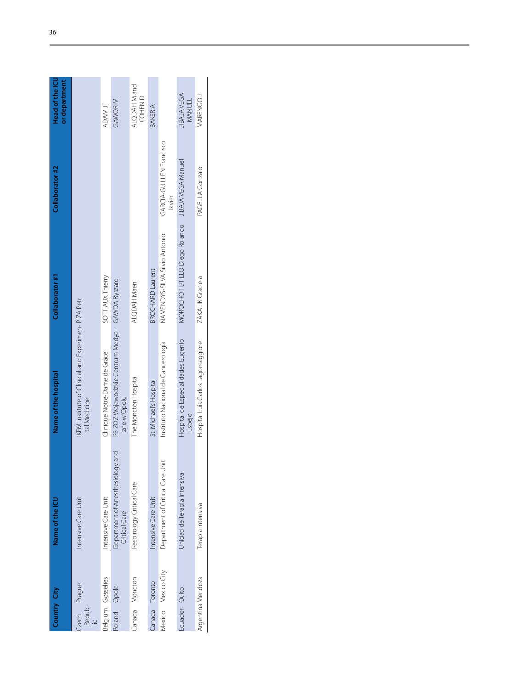| Country City                            | Name of the ICL                                      | Name of the hospital                                                | Collaborator #1                                 | Collaborator #2                    | Head of the ICU<br>or department |
|-----------------------------------------|------------------------------------------------------|---------------------------------------------------------------------|-------------------------------------------------|------------------------------------|----------------------------------|
| Czech Prague<br>Repub-<br>$\frac{1}{2}$ | Intensive Care Unit                                  | IKEM Institute of Clinical and Experimen- PIZA Petr<br>tal Medicine |                                                 |                                    |                                  |
| Belgium Gosselies                       | Intensive Care Unit                                  | Clinique Notre-Dame de Grâce                                        | <b>SOTTIAUX Thierry</b>                         |                                    | ADAM JF                          |
| Poland Opole                            | and<br>Department of Anesthesiology<br>Critical Care | PS ZOZ Wojewodzkie Centrum Medyc- GAWDA Ryszard<br>zne w Opolu      |                                                 |                                    | GAWOR M                          |
| Canada Moncton                          | Respirology Critical Care                            | The Moncton Hospital                                                | ALQDAH Maen                                     |                                    | ALQDAH M and<br>COHEN D          |
| Canada Toronto                          | Intensive Care Unit                                  | St. Michael's Hospital                                              | <b>BROCHARD Laurent</b>                         |                                    | BAKER A                          |
| Mexico Mexico City                      | Department of Critical Care Unit                     | Instituto Nacional de Cancerología                                  | NAMENDYS-SILVA Silvio Antonio                   | GARCIA-GUILLEN Francisco<br>Javier |                                  |
| Ecuador Quito                           | Unidad de Terapia Intensiva                          | Hospital de Especialidades Eugenio<br>Espejo                        | MOROCHO TUTILLO Diego Rolando MBAJA VEGA Manuel |                                    | <b>JIBAJAVEGA</b><br>MANUEL      |
| Argentina Mendoza                       | Terapia intensiva                                    | Hospital Luis Carlos Lagomaggiore                                   | ZAKALIK Graciela                                | PAGELLA Gonzalo                    | MARENGO.                         |